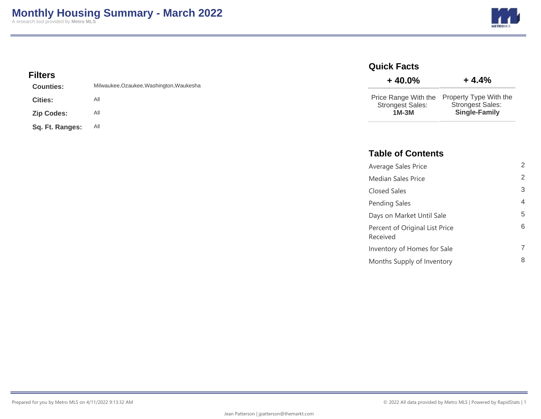

## **Filters**

| <b>Counties:</b>  | Milwaukee, Ozaukee, Washington, Waukesha |
|-------------------|------------------------------------------|
| <b>Cities:</b>    | All                                      |
| <b>Zip Codes:</b> | All                                      |
| Sq. Ft. Ranges:   | All                                      |

#### **Quick Facts**

| $+40.0%$                | $+4.4%$                 |
|-------------------------|-------------------------|
| Price Range With the    | Property Type With the  |
| <b>Strongest Sales:</b> | <b>Strongest Sales:</b> |
| $1M-3M$                 | <b>Single-Family</b>    |

### **Table of Contents**

| Average Sales Price                        | 2 |
|--------------------------------------------|---|
| <b>Median Sales Price</b>                  | 2 |
| Closed Sales                               | 3 |
| Pending Sales                              | 4 |
| Days on Market Until Sale                  | 5 |
| Percent of Original List Price<br>Received | 6 |
| Inventory of Homes for Sale                | 7 |
| Months Supply of Inventory                 | 8 |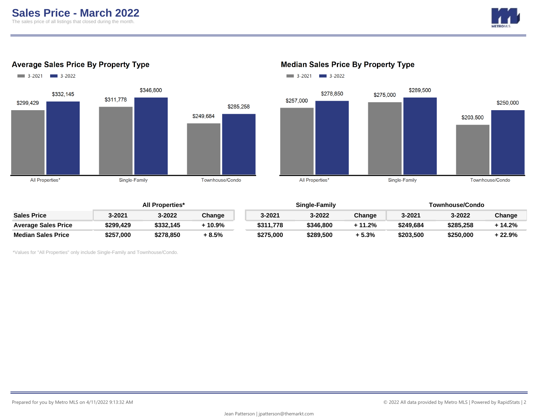

#### **Average Sales Price By Property Type**



## $3-2021$   $3-2022$ \$289,500 \$278,850 \$275,000 \$257,000 \$250,000 \$203,500 All Properties\* Single-Family Townhouse/Condo

## **Median Sales Price By Property Type**

|                            | <b>All Properties*</b> |           |        | Single-Family |           |         | Townhouse/Condo |           |          |
|----------------------------|------------------------|-----------|--------|---------------|-----------|---------|-----------------|-----------|----------|
| <b>Sales Price</b>         | 3-2021                 | 3-2022    | Change | 3-2021        | 3-2022    | Change  | 3-2021          | 3-2022    | Change   |
| <b>Average Sales Price</b> | \$299.429              | \$332.145 | 10.9%  | \$311,778     | \$346,800 | + 11.2% | \$249,684       | \$285,258 | $+14.2%$ |
| <b>Median Sales Price</b>  | \$257,000              | \$278,850 | + 8.5% | \$275,000     | \$289,500 | + 5.3%  | \$203,500       | \$250.000 | $+22.9%$ |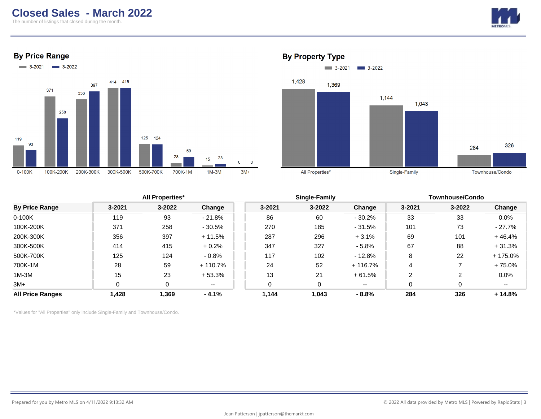## **Closed Sales - March 2022**

The number of listings that closed during the month.







#### **By Property Type**



|                         |        | <b>All Properties*</b> |           |            | Single-Family |          | <b>Townhouse/Condo</b> |            |          |
|-------------------------|--------|------------------------|-----------|------------|---------------|----------|------------------------|------------|----------|
| <b>By Price Range</b>   | 3-2021 | $3 - 2022$             | Change    | $3 - 2021$ | $3 - 2022$    | Change   | 3-2021                 | $3 - 2022$ | Change   |
| 0-100K                  | 119    | 93                     | $-21.8%$  | 86         | 60            | $-30.2%$ | 33                     | 33         | 0.0%     |
| 100K-200K               | 371    | 258                    | $-30.5%$  | 270        | 185           | $-31.5%$ | 101                    | 73         | - 27.7%  |
| 200K-300K               | 356    | 397                    | $+11.5%$  | 287        | 296           | $+3.1%$  | 69                     | 101        | $+46.4%$ |
| 300K-500K               | 414    | 415                    | $+0.2%$   | 347        | 327           | $-5.8%$  | 67                     | 88         | $+31.3%$ |
| 500K-700K               | 125    | 124                    | $-0.8%$   | 117        | 102           | $-12.8%$ | 8                      | 22         | + 175.0% |
| 700K-1M                 | 28     | 59                     | $+110.7%$ | 24         | 52            | + 116.7% | 4                      |            | + 75.0%  |
| $1M-3M$                 | 15     | 23                     | $+53.3%$  | 13         | 21            | + 61.5%  | 2                      | 2          | 0.0%     |
| $3M+$                   |        | 0                      | $- -$     |            |               | $- -$    | 0                      | 0          | $- -$    |
| <b>All Price Ranges</b> | 1,428  | 1,369                  | $-4.1%$   | 1,144      | 1,043         | $-8.8%$  | 284                    | 326        | $+14.8%$ |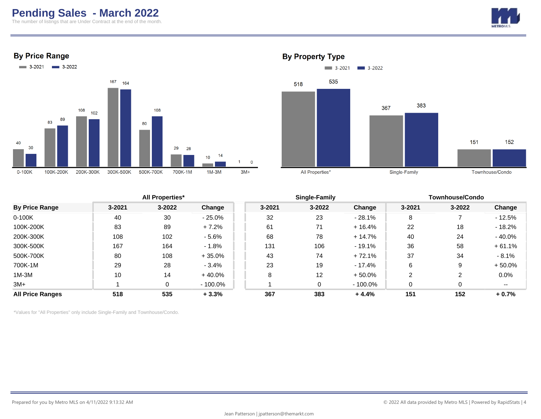# **Pending Sales - March 2022**

The number of listings that are Under Contract at the end of the month.









#### **By Property Type**

| <b>By Price Range</b>   |            | <b>All Properties*</b> |           |            | Single-Family |           | <b>Townhouse/Condo</b> |            |           |
|-------------------------|------------|------------------------|-----------|------------|---------------|-----------|------------------------|------------|-----------|
|                         | $3 - 2021$ | $3 - 2022$             | Change    | $3 - 2021$ | $3 - 2022$    | Change    | 3-2021                 | $3 - 2022$ | Change    |
| $0-100K$                | 40         | 30                     | $-25.0\%$ | 32         | 23            | $-28.1%$  | 8                      |            | $-12.5%$  |
| 100K-200K               | 83         | 89                     | $+7.2%$   | 61         | 71            | $+16.4%$  | 22                     | 18         | - 18.2%   |
| 200K-300K               | 108        | 102                    | $-5.6%$   | 68         | 78            | $+14.7%$  | 40                     | 24         | $-40.0\%$ |
| 300K-500K               | 167        | 164                    | $-1.8%$   | 131        | 106           | - 19.1%   | 36                     | 58         | $+61.1%$  |
| 500K-700K               | 80         | 108                    | $+35.0%$  | 43         | 74            | $+72.1%$  | 37                     | 34         | $-8.1\%$  |
| 700K-1M                 | 29         | 28                     | $-3.4%$   | 23         | 19            | - 17.4%   | 6                      | 9          | $+50.0%$  |
| $1M-3M$                 | 10         | 14                     | $+40.0%$  | 8          | 12            | $+50.0\%$ | $\overline{2}$         |            | 0.0%      |
| $3M+$                   |            | 0                      | - 100.0%  |            | 0             | - 100.0%  | 0                      |            | --        |
| <b>All Price Ranges</b> | 518        | 535                    | $+3.3%$   | 367        | 383           | $+4.4%$   | 151                    | 152        | $+0.7%$   |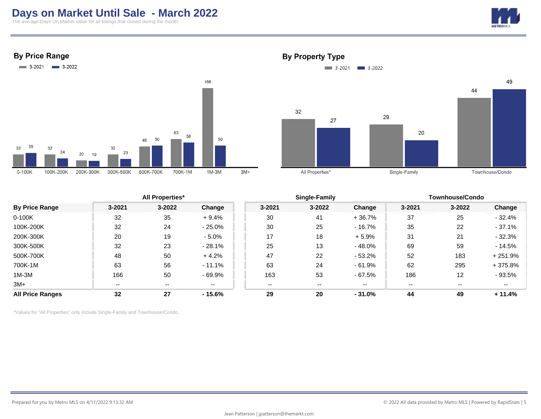# **Days on Market Until Sale - March 2022**

The average Days On Market value for all listings that closed during the month.



**By Price Range** 



**By Property Type** 



|                         |        | <b>All Properties*</b> |          |            | Single-Family |          | <b>Townhouse/Condo</b> |                          |           |
|-------------------------|--------|------------------------|----------|------------|---------------|----------|------------------------|--------------------------|-----------|
| <b>By Price Range</b>   | 3-2021 | $3 - 2022$             | Change   | $3 - 2021$ | 3-2022        | Change   | $3 - 2021$             | 3-2022                   | Change    |
| $0-100K$                | 32     | 35                     | $+9.4%$  | 30         | 41            | $+36.7%$ | 37                     | 25                       | $-32.4%$  |
| 100K-200K               | 32     | 24                     | $-25.0%$ | 30         | 25            | $-16.7%$ | 35                     | 22                       | $-37.1%$  |
| 200K-300K               | 20     | 19                     | $-5.0%$  | 17         | 18            | $+5.9%$  | 31                     | 21                       | $-32.3%$  |
| 300K-500K               | 32     | 23                     | $-28.1%$ | 25         | 13            | $-48.0%$ | 69                     | 59                       | $-14.5%$  |
| 500K-700K               | 48     | 50                     | $+4.2%$  | 47         | 22            | $-53.2%$ | 52                     | 183                      | $+251.9%$ |
| 700K-1M                 | 63     | 56                     | $-11.1%$ | 63         | 24            | $-61.9%$ | 62                     | 295                      | $+375.8%$ |
| $1M-3M$                 | 166    | 50                     | $-69.9%$ | 163        | 53            | $-67.5%$ | 186                    | 12                       | $-93.5%$  |
| $3M+$                   | $- -$  | $- -$                  | $- -$    | $- -$      | $- -$         | $- -$    | $- -$                  | $\overline{\phantom{a}}$ | $- -$     |
| <b>All Price Ranges</b> | 32     | 27                     | $-15.6%$ | 29         | 20            | $-31.0%$ | 44                     | 49                       | $+11.4%$  |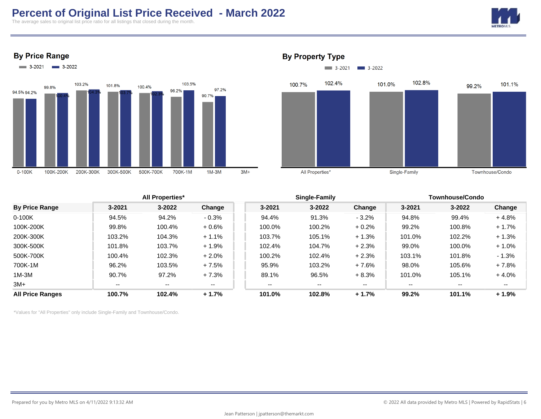# **Percent of Original List Price Received - March 2022**

The average sales to original list price ratio for all listings that closed during the month.









#### **By Property Type**



|                         |            | <b>All Properties*</b> |         |            | Single-Family |         | <b>Townhouse/Condo</b> |            |         |
|-------------------------|------------|------------------------|---------|------------|---------------|---------|------------------------|------------|---------|
| <b>By Price Range</b>   | $3 - 2021$ | $3 - 2022$             | Change  | $3 - 2021$ | $3 - 2022$    | Change  | $3 - 2021$             | $3 - 2022$ | Change  |
| 0-100K                  | 94.5%      | 94.2%                  | $-0.3%$ | 94.4%      | 91.3%         | $-3.2%$ | 94.8%                  | 99.4%      | $+4.8%$ |
| 100K-200K               | 99.8%      | 100.4%                 | $+0.6%$ | 100.0%     | 100.2%        | $+0.2%$ | 99.2%                  | 100.8%     | $+1.7%$ |
| 200K-300K               | 103.2%     | 104.3%                 | $+1.1%$ | 103.7%     | 105.1%        | $+1.3%$ | 101.0%                 | 102.2%     | $+1.3%$ |
| 300K-500K               | 101.8%     | 103.7%                 | $+1.9%$ | 102.4%     | 104.7%        | $+2.3%$ | 99.0%                  | 100.0%     | $+1.0%$ |
| 500K-700K               | 100.4%     | 102.3%                 | $+2.0%$ | 100.2%     | 102.4%        | $+2.3%$ | 103.1%                 | 101.8%     | $-1.3%$ |
| 700K-1M                 | 96.2%      | 103.5%                 | $+7.5%$ | 95.9%      | 103.2%        | $+7.6%$ | 98.0%                  | 105.6%     | $+7.8%$ |
| $1M-3M$                 | 90.7%      | 97.2%                  | $+7.3%$ | 89.1%      | 96.5%         | $+8.3%$ | 101.0%                 | 105.1%     | $+4.0%$ |
| 3M+                     | $- -$      | $- -$                  | $- -$   | $- -$      | $- -$         | $- -$   | $- -$                  | $- -$      | $- -$   |
| <b>All Price Ranges</b> | 100.7%     | 102.4%                 | $+1.7%$ | 101.0%     | 102.8%        | $+1.7%$ | 99.2%                  | 101.1%     | $+1.9%$ |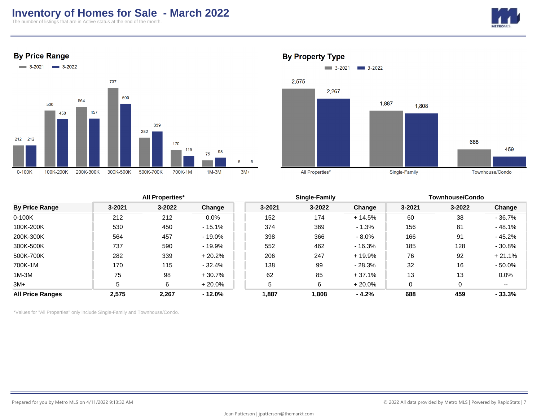## **Inventory of Homes for Sale - March 2022**

The number of listings that are in Active status at the end of the month.









#### **By Property Type**

|                         |        | <b>All Properties*</b> |           |            | <b>Single-Family</b> |           | Townhouse/Condo |        |           |
|-------------------------|--------|------------------------|-----------|------------|----------------------|-----------|-----------------|--------|-----------|
| <b>By Price Range</b>   | 3-2021 | $3 - 2022$             | Change    | $3 - 2021$ | $3 - 2022$           | Change    | 3-2021          | 3-2022 | Change    |
| $0-100K$                | 212    | 212                    | $0.0\%$   | 152        | 174                  | $+14.5%$  | 60              | 38     | $-36.7%$  |
| 100K-200K               | 530    | 450                    | $-15.1%$  | 374        | 369                  | $-1.3%$   | 156             | 81     | $-48.1%$  |
| 200K-300K               | 564    | 457                    | $-19.0\%$ | 398        | 366                  | $-8.0\%$  | 166             | 91     | $-45.2%$  |
| 300K-500K               | 737    | 590                    | $-19.9\%$ | 552        | 462                  | - 16.3%   | 185             | 128    | $-30.8%$  |
| 500K-700K               | 282    | 339                    | $+20.2%$  | 206        | 247                  | + 19.9%   | 76              | 92     | $+21.1%$  |
| 700K-1M                 | 170    | 115                    | - 32.4%   | 138        | 99                   | $-28.3%$  | 32              | 16     | $-50.0\%$ |
| $1M-3M$                 | 75     | 98                     | $+30.7%$  | 62         | 85                   | $+37.1%$  | 13              | 13     | 0.0%      |
| $3M+$                   | 5      | 6                      | $+20.0%$  | 5          | 6                    | $+20.0\%$ | 0               | 0      | $- -$     |
| <b>All Price Ranges</b> | 2,575  | 2,267                  | $-12.0\%$ | 1,887      | 1,808                | $-4.2%$   | 688             | 459    | $-33.3%$  |